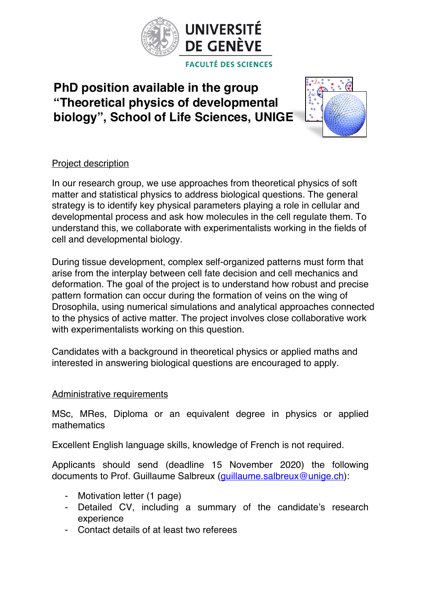

## **PhD position available in the group "Theoretical physics of developmental biology", School of Life Sciences, UNIGE**



## Project description

In our research group, we use approaches from theoretical physics of soft matter and statistical physics to address biological questions. The general strategy is to identify key physical parameters playing a role in cellular and developmental process and ask how molecules in the cell regulate them. To understand this, we collaborate with experimentalists working in the fields of cell and developmental biology.

During tissue development, complex self-organized patterns must form that arise from the interplay between cell fate decision and cell mechanics and deformation. The goal of the project is to understand how robust and precise pattern formation can occur during the formation of veins on the wing of Drosophila, using numerical simulations and analytical approaches connected to the physics of active matter. The project involves close collaborative work with experimentalists working on this question.

Candidates with a background in theoretical physics or applied maths and interested in answering biological questions are encouraged to apply.

## Administrative requirements

MSc, MRes, Diploma or an equivalent degree in physics or applied mathematics

Excellent English language skills, knowledge of French is not required.

Applicants should send (deadline 15 November 2020) the following documents to Prof. Guillaume Salbreux (guillaume.salbreux@unige.ch):

- Motivation letter (1 page)
- Detailed CV, including a summary of the candidate's research experience
- Contact details of at least two referees